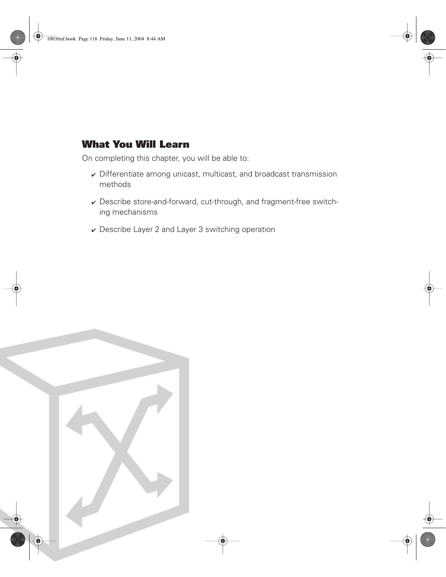# **What You Will Learn**

On completing this chapter, you will be able to:

- $\overline{\smash{\nu}}$  Differentiate among unicast, multicast, and broadcast transmission methods
- ✔ Describe store-and-forward, cut-through, and fragment-free switching mechanisms
- $\triangleright$  Describe Layer 2 and Layer 3 switching operation

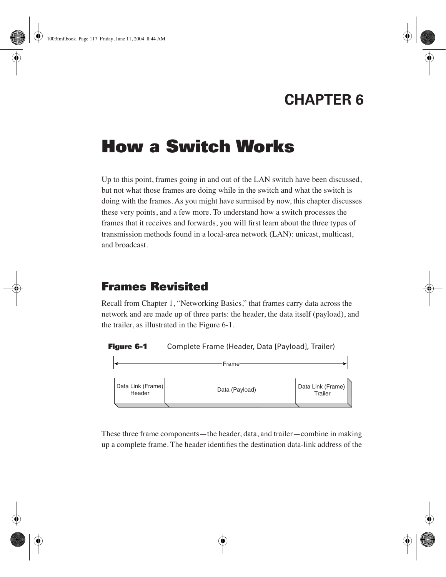# **CHAPTER 6**

# **How a Switch Works**

Up to this point, frames going in and out of the LAN switch have been discussed, but not what those frames are doing while in the switch and what the switch is doing with the frames. As you might have surmised by now, this chapter discusses these very points, and a few more. To understand how a switch processes the frames that it receives and forwards, you will first learn about the three types of transmission methods found in a local-area network (LAN): unicast, multicast, and broadcast.

# **Frames Revisited**

Recall from Chapter 1, "Networking Basics," that frames carry data across the network and are made up of three parts: the header, the data itself (payload), and the trailer, as illustrated in the Figure 6-1.

### **Figure 6-1** Complete Frame (Header, Data [Payload], Trailer)



These three frame components—the header, data, and trailer—combine in making up a complete frame. The header identifies the destination data-link address of the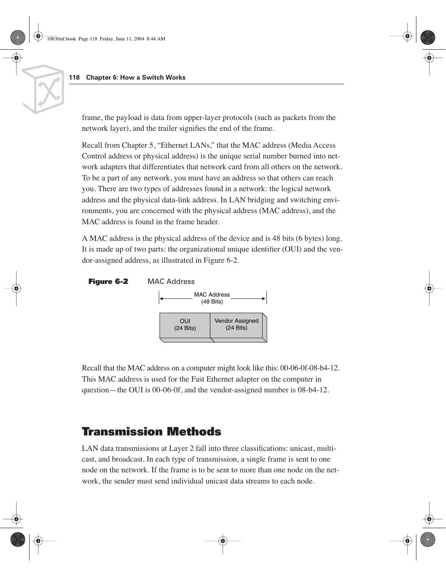frame, the payload is data from upper-layer protocols (such as packets from the network layer), and the trailer signifies the end of the frame.

Recall from Chapter 5, "Ethernet LANs," that the MAC address (Media Access Control address or physical address) is the unique serial number burned into network adapters that differentiates that network card from all others on the network. To be a part of any network, you must have an address so that others can reach you. There are two types of addresses found in a network: the logical network address and the physical data-link address. In LAN bridging and switching environments, you are concerned with the physical address (MAC address), and the MAC address is found in the frame header.

A MAC address is the physical address of the device and is 48 bits (6 bytes) long. It is made up of two parts: the organizational unique identifier (OUI) and the vendor-assigned address, as illustrated in Figure 6-2.





Recall that the MAC address on a computer might look like this: 00-06-0f-08-b4-12. This MAC address is used for the Fast Ethernet adapter on the computer in question—the OUI is 00-06-0f, and the vendor-assigned number is 08-b4-12.

# **Transmission Methods**

LAN data transmissions at Layer 2 fall into three classifications: unicast, multicast, and broadcast. In each type of transmission, a single frame is sent to one node on the network. If the frame is to be sent to more than one node on the network, the sender must send individual unicast data streams to each node.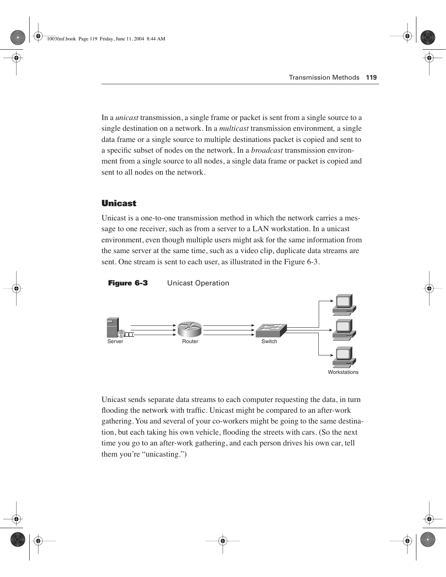In a *unicast* transmission, a single frame or packet is sent from a single source to a single destination on a network. In a *multicast* transmission environment*,* a single data frame or a single source to multiple destinations packet is copied and sent to a specific subset of nodes on the network. In a *broadcast* transmission environment from a single source to all nodes, a single data frame or packet is copied and sent to all nodes on the network.

# **Unicast**

Unicast is a one-to-one transmission method in which the network carries a message to one receiver, such as from a server to a LAN workstation. In a unicast environment, even though multiple users might ask for the same information from the same server at the same time, such as a video clip, duplicate data streams are sent. One stream is sent to each user, as illustrated in the Figure 6-3.





Unicast sends separate data streams to each computer requesting the data, in turn flooding the network with traffic. Unicast might be compared to an after-work gathering. You and several of your co-workers might be going to the same destination, but each taking his own vehicle, flooding the streets with cars. (So the next time you go to an after-work gathering, and each person drives his own car, tell them you're "unicasting.")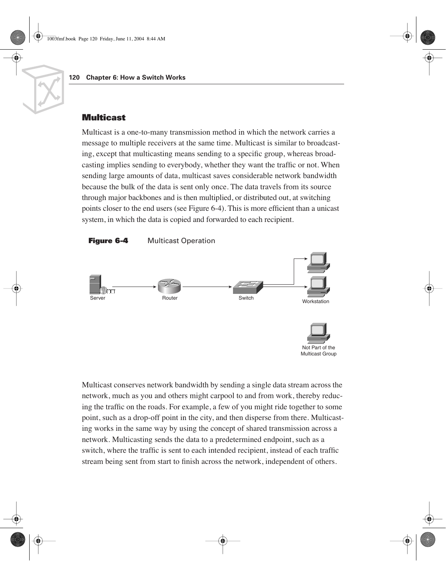### **Multicast**

Multicast is a one-to-many transmission method in which the network carries a message to multiple receivers at the same time. Multicast is similar to broadcasting, except that multicasting means sending to a specific group, whereas broadcasting implies sending to everybody, whether they want the traffic or not. When sending large amounts of data, multicast saves considerable network bandwidth because the bulk of the data is sent only once. The data travels from its source through major backbones and is then multiplied, or distributed out, at switching points closer to the end users (see Figure 6-4). This is more efficient than a unicast system, in which the data is copied and forwarded to each recipient.



Multicast conserves network bandwidth by sending a single data stream across the network, much as you and others might carpool to and from work, thereby reducing the traffic on the roads. For example, a few of you might ride together to some point, such as a drop-off point in the city, and then disperse from there. Multicasting works in the same way by using the concept of shared transmission across a network. Multicasting sends the data to a predetermined endpoint, such as a switch, where the traffic is sent to each intended recipient, instead of each traffic stream being sent from start to finish across the network, independent of others.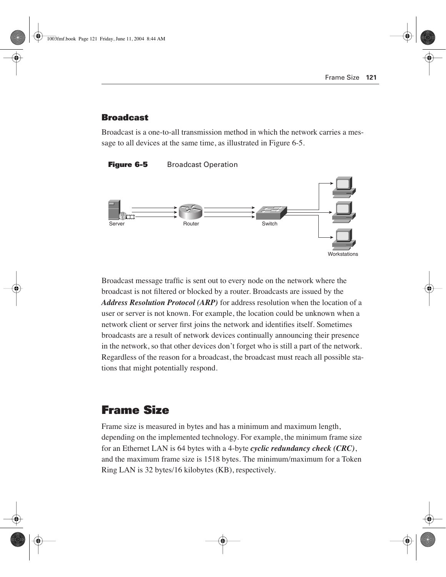### **Broadcast**

Broadcast is a one-to-all transmission method in which the network carries a message to all devices at the same time, as illustrated in Figure 6-5.



Broadcast message traffic is sent out to every node on the network where the broadcast is not filtered or blocked by a router. Broadcasts are issued by the *Address Resolution Protocol (ARP)* for address resolution when the location of a user or server is not known. For example, the location could be unknown when a network client or server first joins the network and identifies itself. Sometimes broadcasts are a result of network devices continually announcing their presence in the network, so that other devices don't forget who is still a part of the network. Regardless of the reason for a broadcast, the broadcast must reach all possible stations that might potentially respond.

# **Frame Size**

Frame size is measured in bytes and has a minimum and maximum length, depending on the implemented technology. For example, the minimum frame size for an Ethernet LAN is 64 bytes with a 4-byte *cyclic redundancy check (CRC)*, and the maximum frame size is 1518 bytes. The minimum/maximum for a Token Ring LAN is 32 bytes/16 kilobytes (KB), respectively.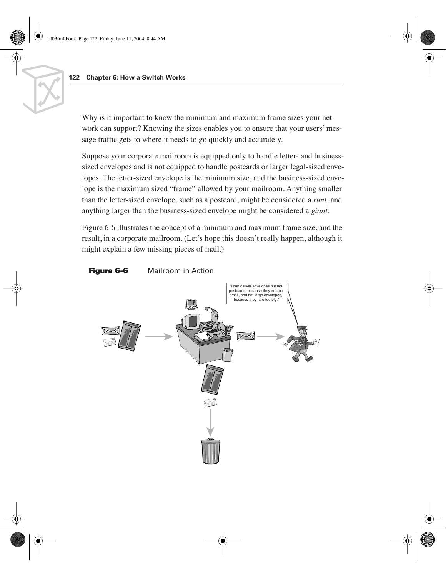Why is it important to know the minimum and maximum frame sizes your network can support? Knowing the sizes enables you to ensure that your users' message traffic gets to where it needs to go quickly and accurately.

Suppose your corporate mailroom is equipped only to handle letter- and businesssized envelopes and is not equipped to handle postcards or larger legal-sized envelopes. The letter-sized envelope is the minimum size, and the business-sized envelope is the maximum sized "frame" allowed by your mailroom. Anything smaller than the letter-sized envelope, such as a postcard, might be considered a *runt*, and anything larger than the business-sized envelope might be considered a *giant*.

Figure 6-6 illustrates the concept of a minimum and maximum frame size, and the result, in a corporate mailroom. (Let's hope this doesn't really happen, although it might explain a few missing pieces of mail.)

#### **Figure 6-6** Mailroom in Action

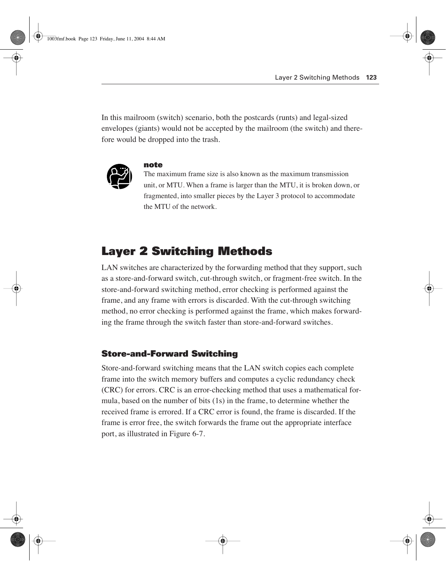In this mailroom (switch) scenario, both the postcards (runts) and legal-sized envelopes (giants) would not be accepted by the mailroom (the switch) and therefore would be dropped into the trash.



**note** The maximum frame size is also known as the maximum transmission unit, or MTU. When a frame is larger than the MTU, it is broken down, or fragmented, into smaller pieces by the Layer 3 protocol to accommodate the MTU of the network.

# **Layer 2 Switching Methods**

LAN switches are characterized by the forwarding method that they support, such as a store-and-forward switch, cut-through switch, or fragment-free switch. In the store-and-forward switching method, error checking is performed against the frame, and any frame with errors is discarded. With the cut-through switching method, no error checking is performed against the frame, which makes forwarding the frame through the switch faster than store-and-forward switches.

# **Store-and-Forward Switching**

Store-and-forward switching means that the LAN switch copies each complete frame into the switch memory buffers and computes a cyclic redundancy check (CRC) for errors. CRC is an error-checking method that uses a mathematical formula, based on the number of bits (1s) in the frame, to determine whether the received frame is errored. If a CRC error is found, the frame is discarded. If the frame is error free, the switch forwards the frame out the appropriate interface port, as illustrated in Figure 6-7.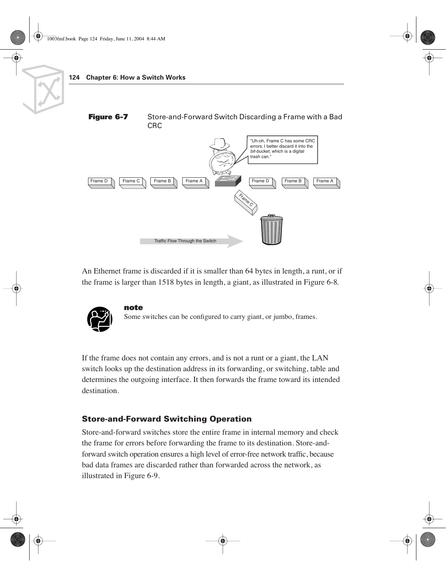

An Ethernet frame is discarded if it is smaller than 64 bytes in length, a runt, or if the frame is larger than 1518 bytes in length, a giant, as illustrated in Figure 6-8*.*



**note** Some switches can be configured to carry giant, or jumbo, frames.

If the frame does not contain any errors, and is not a runt or a giant, the LAN switch looks up the destination address in its forwarding, or switching, table and determines the outgoing interface. It then forwards the frame toward its intended destination.

# **Store-and-Forward Switching Operation**

Store-and-forward switches store the entire frame in internal memory and check the frame for errors before forwarding the frame to its destination. Store-andforward switch operation ensures a high level of error-free network traffic, because bad data frames are discarded rather than forwarded across the network, as illustrated in Figure 6-9.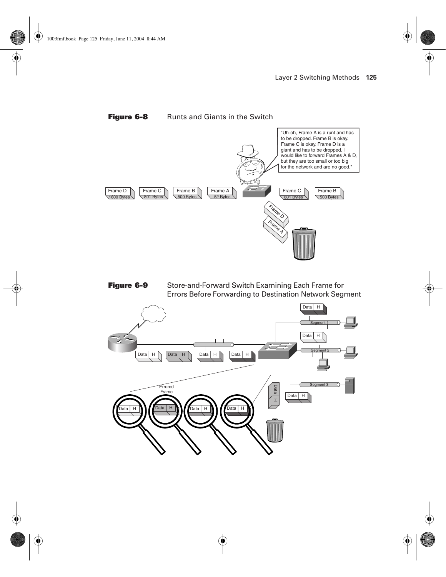

#### **Figure 6-8** Runts and Giants in the Switch

**Figure 6-9** Store-and-Forward Switch Examining Each Frame for Errors Before Forwarding to Destination Network Segment

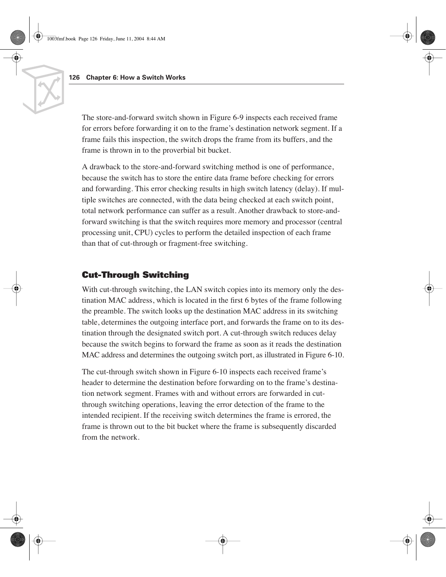The store-and-forward switch shown in Figure 6-9 inspects each received frame for errors before forwarding it on to the frame's destination network segment. If a frame fails this inspection, the switch drops the frame from its buffers, and the frame is thrown in to the proverbial bit bucket.

A drawback to the store-and-forward switching method is one of performance, because the switch has to store the entire data frame before checking for errors and forwarding. This error checking results in high switch latency (delay). If multiple switches are connected, with the data being checked at each switch point, total network performance can suffer as a result. Another drawback to store-andforward switching is that the switch requires more memory and processor (central processing unit, CPU) cycles to perform the detailed inspection of each frame than that of cut-through or fragment-free switching.

### **Cut-Through Switching**

With cut-through switching, the LAN switch copies into its memory only the destination MAC address, which is located in the first 6 bytes of the frame following the preamble. The switch looks up the destination MAC address in its switching table, determines the outgoing interface port, and forwards the frame on to its destination through the designated switch port. A cut-through switch reduces delay because the switch begins to forward the frame as soon as it reads the destination MAC address and determines the outgoing switch port, as illustrated in Figure 6-10.

The cut-through switch shown in Figure 6-10 inspects each received frame's header to determine the destination before forwarding on to the frame's destination network segment. Frames with and without errors are forwarded in cutthrough switching operations, leaving the error detection of the frame to the intended recipient. If the receiving switch determines the frame is errored, the frame is thrown out to the bit bucket where the frame is subsequently discarded from the network.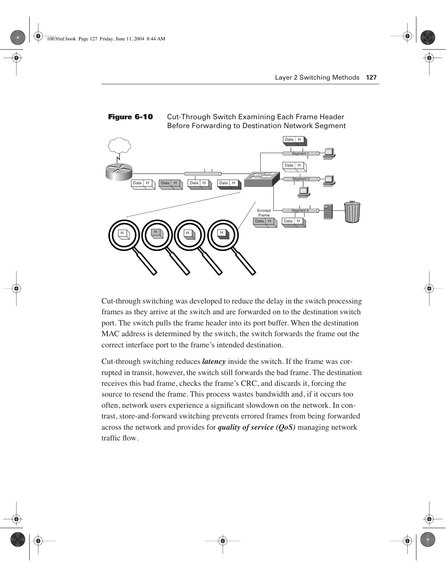

**Figure 6-10** Cut-Through Switch Examining Each Frame Header Before Forwarding to Destination Network Segment

Cut-through switching was developed to reduce the delay in the switch processing frames as they arrive at the switch and are forwarded on to the destination switch port. The switch pulls the frame header into its port buffer. When the destination MAC address is determined by the switch, the switch forwards the frame out the correct interface port to the frame's intended destination.

Cut-through switching reduces *latency* inside the switch. If the frame was corrupted in transit, however, the switch still forwards the bad frame. The destination receives this bad frame, checks the frame's CRC, and discards it, forcing the source to resend the frame. This process wastes bandwidth and, if it occurs too often, network users experience a significant slowdown on the network. In contrast, store-and-forward switching prevents errored frames from being forwarded across the network and provides for *quality of service (QoS)* managing network traffic flow.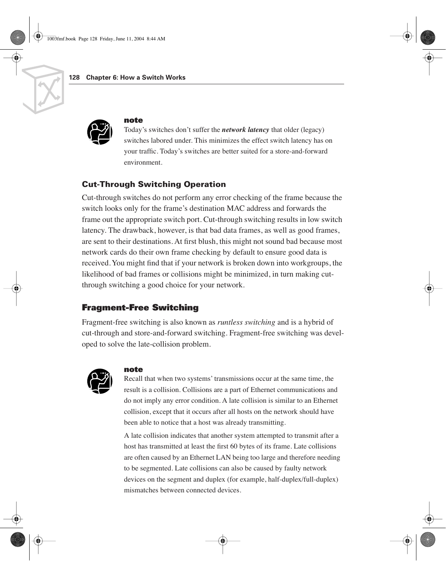

#### **note**

Today's switches don't suffer the *network latency* that older (legacy) switches labored under. This minimizes the effect switch latency has on your traffic. Today's switches are better suited for a store-and-forward environment.

### **Cut-Through Switching Operation**

Cut-through switches do not perform any error checking of the frame because the switch looks only for the frame's destination MAC address and forwards the frame out the appropriate switch port. Cut-through switching results in low switch latency. The drawback, however, is that bad data frames, as well as good frames, are sent to their destinations. At first blush, this might not sound bad because most network cards do their own frame checking by default to ensure good data is received. You might find that if your network is broken down into workgroups, the likelihood of bad frames or collisions might be minimized, in turn making cutthrough switching a good choice for your network.

# **Fragment-Free Switching**

Fragment-free switching is also known as *runtless switching* and is a hybrid of cut-through and store-and-forward switching. Fragment-free switching was developed to solve the late-collision problem.



#### **note**

Recall that when two systems' transmissions occur at the same time, the result is a collision. Collisions are a part of Ethernet communications and do not imply any error condition. A late collision is similar to an Ethernet collision, except that it occurs after all hosts on the network should have been able to notice that a host was already transmitting.

A late collision indicates that another system attempted to transmit after a host has transmitted at least the first 60 bytes of its frame. Late collisions are often caused by an Ethernet LAN being too large and therefore needing to be segmented. Late collisions can also be caused by faulty network devices on the segment and duplex (for example, half-duplex/full-duplex) mismatches between connected devices.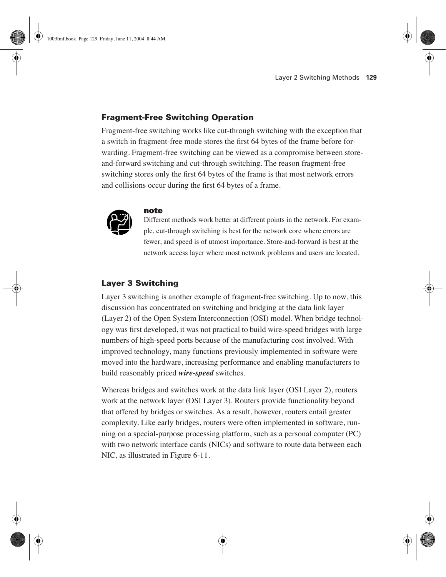# **Fragment-Free Switching Operation**

Fragment-free switching works like cut-through switching with the exception that a switch in fragment-free mode stores the first 64 bytes of the frame before forwarding. Fragment-free switching can be viewed as a compromise between storeand-forward switching and cut-through switching. The reason fragment-free switching stores only the first 64 bytes of the frame is that most network errors and collisions occur during the first 64 bytes of a frame.



#### **note**

Different methods work better at different points in the network. For example, cut-through switching is best for the network core where errors are fewer, and speed is of utmost importance. Store-and-forward is best at the network access layer where most network problems and users are located.

## **Layer 3 Switching**

Layer 3 switching is another example of fragment-free switching. Up to now, this discussion has concentrated on switching and bridging at the data link layer (Layer 2) of the Open System Interconnection (OSI) model. When bridge technology was first developed, it was not practical to build wire-speed bridges with large numbers of high-speed ports because of the manufacturing cost involved. With improved technology, many functions previously implemented in software were moved into the hardware, increasing performance and enabling manufacturers to build reasonably priced *wire-speed* switches.

Whereas bridges and switches work at the data link layer (OSI Layer 2), routers work at the network layer (OSI Layer 3). Routers provide functionality beyond that offered by bridges or switches. As a result, however, routers entail greater complexity. Like early bridges, routers were often implemented in software, running on a special-purpose processing platform, such as a personal computer (PC) with two network interface cards (NICs) and software to route data between each NIC, as illustrated in Figure 6-11.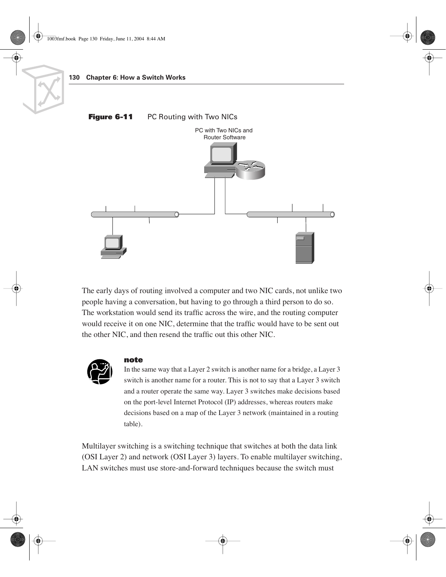

The early days of routing involved a computer and two NIC cards, not unlike two people having a conversation, but having to go through a third person to do so. The workstation would send its traffic across the wire, and the routing computer would receive it on one NIC, determine that the traffic would have to be sent out the other NIC, and then resend the traffic out this other NIC.



#### **note**

In the same way that a Layer 2 switch is another name for a bridge, a Layer 3 switch is another name for a router. This is not to say that a Layer 3 switch and a router operate the same way. Layer 3 switches make decisions based on the port-level Internet Protocol (IP) addresses, whereas routers make decisions based on a map of the Layer 3 network (maintained in a routing table).

Multilayer switching is a switching technique that switches at both the data link (OSI Layer 2) and network (OSI Layer 3) layers. To enable multilayer switching, LAN switches must use store-and-forward techniques because the switch must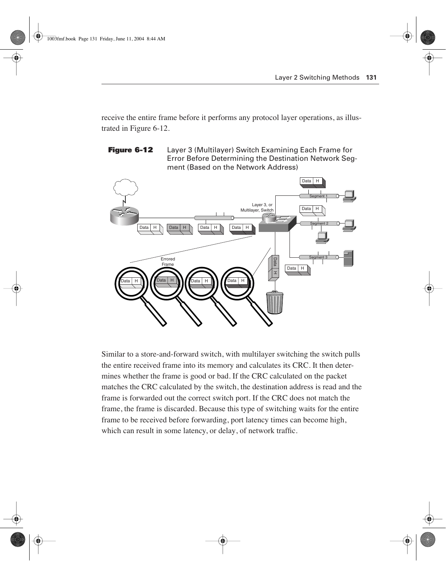receive the entire frame before it performs any protocol layer operations, as illustrated in Figure 6-12.





Similar to a store-and-forward switch, with multilayer switching the switch pulls the entire received frame into its memory and calculates its CRC. It then determines whether the frame is good or bad. If the CRC calculated on the packet matches the CRC calculated by the switch, the destination address is read and the frame is forwarded out the correct switch port. If the CRC does not match the frame, the frame is discarded. Because this type of switching waits for the entire frame to be received before forwarding, port latency times can become high, which can result in some latency, or delay, of network traffic.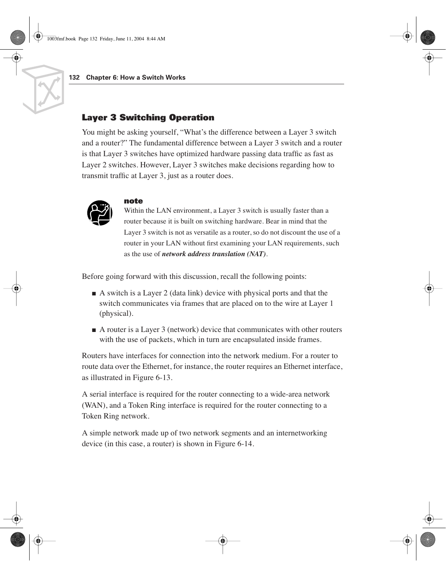# **Layer 3 Switching Operation**

You might be asking yourself, "What's the difference between a Layer 3 switch and a router?" The fundamental difference between a Layer 3 switch and a router is that Layer 3 switches have optimized hardware passing data traffic as fast as Layer 2 switches. However, Layer 3 switches make decisions regarding how to transmit traffic at Layer 3, just as a router does.



#### **note**

Within the LAN environment, a Layer 3 switch is usually faster than a router because it is built on switching hardware. Bear in mind that the Layer 3 switch is not as versatile as a router, so do not discount the use of a router in your LAN without first examining your LAN requirements, such as the use of *network address translation (NAT)*.

Before going forward with this discussion, recall the following points:

- A switch is a Layer 2 (data link) device with physical ports and that the switch communicates via frames that are placed on to the wire at Layer 1 (physical).
- A router is a Layer 3 (network) device that communicates with other routers with the use of packets, which in turn are encapsulated inside frames.

Routers have interfaces for connection into the network medium. For a router to route data over the Ethernet, for instance, the router requires an Ethernet interface, as illustrated in Figure 6-13.

A serial interface is required for the router connecting to a wide-area network (WAN), and a Token Ring interface is required for the router connecting to a Token Ring network.

A simple network made up of two network segments and an internetworking device (in this case, a router) is shown in Figure 6-14.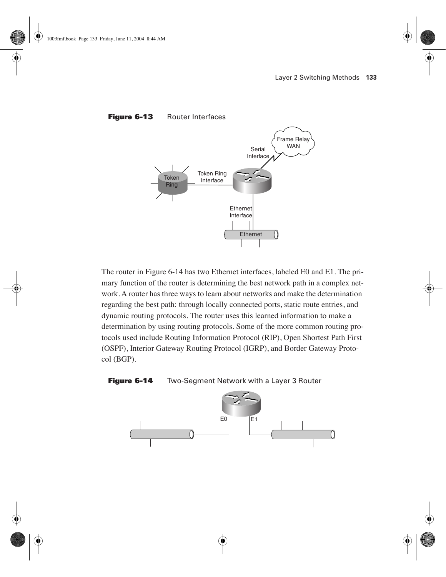

**Figure 6-13** Router Interfaces

The router in Figure 6-14 has two Ethernet interfaces, labeled E0 and E1. The primary function of the router is determining the best network path in a complex network. A router has three ways to learn about networks and make the determination regarding the best path: through locally connected ports, static route entries, and dynamic routing protocols. The router uses this learned information to make a determination by using routing protocols. Some of the more common routing protocols used include Routing Information Protocol (RIP), Open Shortest Path First (OSPF), Interior Gateway Routing Protocol (IGRP), and Border Gateway Protocol (BGP).

#### **Figure 6-14** Two-Segment Network with a Layer 3 Router

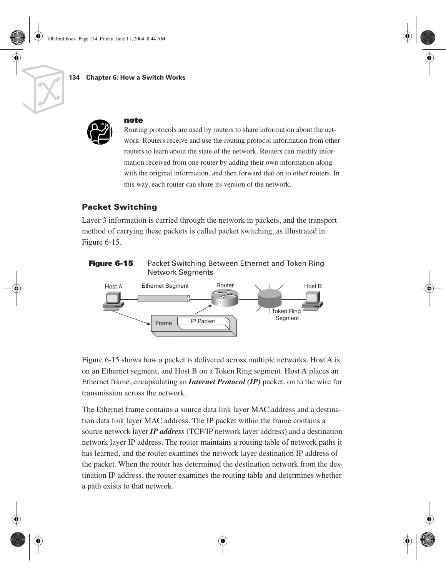

#### **note**

Routing protocols are used by routers to share information about the network. Routers receive and use the routing protocol information from other routers to learn about the state of the network. Routers can modify information received from one router by adding their own information along with the original information, and then forward that on to other routers. In this way, each router can share its version of the network.

### **Packet Switching**

Layer 3 information is carried through the network in packets, and the transport method of carrying these packets is called packet switching, as illustrated in Figure 6-15.



Figure 6-15 shows how a packet is delivered across multiple networks. Host A is on an Ethernet segment, and Host B on a Token Ring segment. Host A places an Ethernet frame, encapsulating an *Internet Protocol (IP)* packet, on to the wire for transmission across the network.

The Ethernet frame contains a source data link layer MAC address and a destination data link layer MAC address. The IP packet within the frame contains a source network layer *IP address* (TCP/IP network layer address) and a destination network layer IP address. The router maintains a routing table of network paths it has learned, and the router examines the network layer destination IP address of the packet. When the router has determined the destination network from the destination IP address, the router examines the routing table and determines whether a path exists to that network.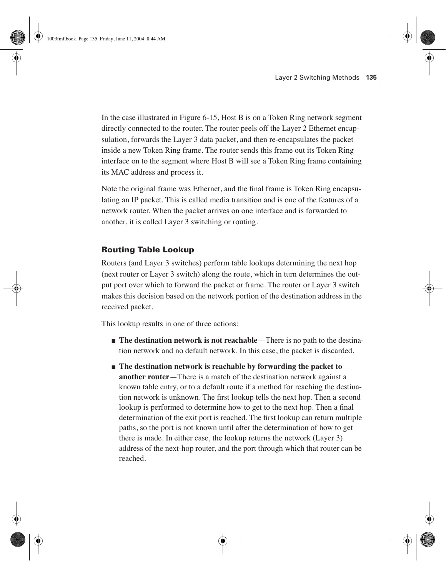In the case illustrated in Figure 6-15, Host B is on a Token Ring network segment directly connected to the router. The router peels off the Layer 2 Ethernet encapsulation, forwards the Layer 3 data packet, and then re-encapsulates the packet inside a new Token Ring frame. The router sends this frame out its Token Ring interface on to the segment where Host B will see a Token Ring frame containing its MAC address and process it.

Note the original frame was Ethernet, and the final frame is Token Ring encapsulating an IP packet. This is called media transition and is one of the features of a network router. When the packet arrives on one interface and is forwarded to another, it is called Layer 3 switching or routing.

# **Routing Table Lookup**

Routers (and Layer 3 switches) perform table lookups determining the next hop (next router or Layer 3 switch) along the route, which in turn determines the output port over which to forward the packet or frame. The router or Layer 3 switch makes this decision based on the network portion of the destination address in the received packet.

This lookup results in one of three actions:

- **The destination network is not reachable**—There is no path to the destination network and no default network. In this case, the packet is discarded.
- **The destination network is reachable by forwarding the packet to another router**—There is a match of the destination network against a known table entry, or to a default route if a method for reaching the destination network is unknown. The first lookup tells the next hop. Then a second lookup is performed to determine how to get to the next hop. Then a final determination of the exit port is reached. The first lookup can return multiple paths, so the port is not known until after the determination of how to get there is made. In either case, the lookup returns the network (Layer 3) address of the next-hop router, and the port through which that router can be reached.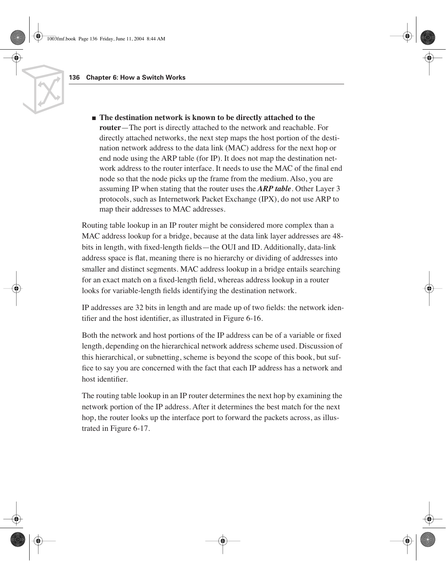

■ **The destination network is known to be directly attached to the** 

**router**—The port is directly attached to the network and reachable. For directly attached networks, the next step maps the host portion of the destination network address to the data link (MAC) address for the next hop or end node using the ARP table (for IP). It does not map the destination network address to the router interface. It needs to use the MAC of the final end node so that the node picks up the frame from the medium. Also, you are assuming IP when stating that the router uses the *ARP table*. Other Layer 3 protocols, such as Internetwork Packet Exchange (IPX), do not use ARP to map their addresses to MAC addresses.

Routing table lookup in an IP router might be considered more complex than a MAC address lookup for a bridge, because at the data link layer addresses are 48 bits in length, with fixed-length fields—the OUI and ID. Additionally, data-link address space is flat, meaning there is no hierarchy or dividing of addresses into smaller and distinct segments. MAC address lookup in a bridge entails searching for an exact match on a fixed-length field, whereas address lookup in a router looks for variable-length fields identifying the destination network.

IP addresses are 32 bits in length and are made up of two fields: the network identifier and the host identifier, as illustrated in Figure 6-16.

Both the network and host portions of the IP address can be of a variable or fixed length, depending on the hierarchical network address scheme used. Discussion of this hierarchical, or subnetting, scheme is beyond the scope of this book, but suffice to say you are concerned with the fact that each IP address has a network and host identifier.

The routing table lookup in an IP router determines the next hop by examining the network portion of the IP address. After it determines the best match for the next hop, the router looks up the interface port to forward the packets across, as illustrated in Figure 6-17.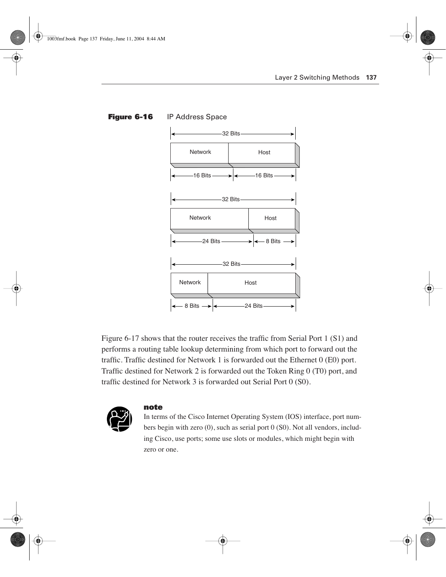

#### **Figure 6-16** IP Address Space

Figure 6-17 shows that the router receives the traffic from Serial Port 1 (S1) and performs a routing table lookup determining from which port to forward out the traffic. Traffic destined for Network 1 is forwarded out the Ethernet 0 (E0) port. Traffic destined for Network 2 is forwarded out the Token Ring 0 (T0) port, and traffic destined for Network 3 is forwarded out Serial Port 0 (S0).



#### **note**

In terms of the Cisco Internet Operating System (IOS) interface, port numbers begin with zero (0), such as serial port 0 (S0). Not all vendors, including Cisco, use ports; some use slots or modules, which might begin with zero or one.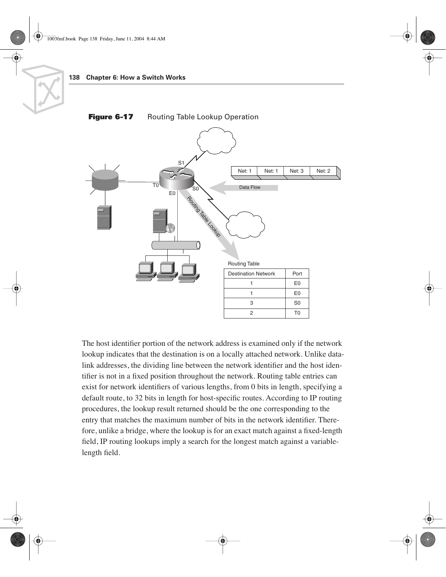

**Figure 6-17** Routing Table Lookup Operation

The host identifier portion of the network address is examined only if the network lookup indicates that the destination is on a locally attached network. Unlike datalink addresses, the dividing line between the network identifier and the host identifier is not in a fixed position throughout the network. Routing table entries can exist for network identifiers of various lengths, from 0 bits in length, specifying a default route, to 32 bits in length for host-specific routes. According to IP routing procedures, the lookup result returned should be the one corresponding to the entry that matches the maximum number of bits in the network identifier. Therefore, unlike a bridge, where the lookup is for an exact match against a fixed-length field, IP routing lookups imply a search for the longest match against a variablelength field.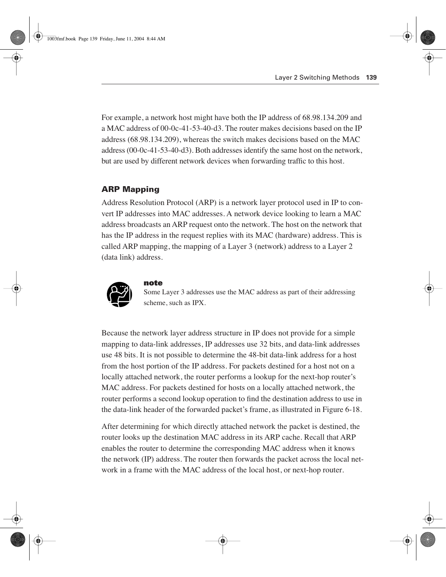For example, a network host might have both the IP address of 68.98.134.209 and a MAC address of 00-0c-41-53-40-d3. The router makes decisions based on the IP address (68.98.134.209), whereas the switch makes decisions based on the MAC address (00-0c-41-53-40-d3). Both addresses identify the same host on the network, but are used by different network devices when forwarding traffic to this host.

# **ARP Mapping**

Address Resolution Protocol (ARP) is a network layer protocol used in IP to convert IP addresses into MAC addresses. A network device looking to learn a MAC address broadcasts an ARP request onto the network. The host on the network that has the IP address in the request replies with its MAC (hardware) address. This is called ARP mapping, the mapping of a Layer 3 (network) address to a Layer 2 (data link) address.



#### **note**

Some Layer 3 addresses use the MAC address as part of their addressing scheme, such as IPX.

Because the network layer address structure in IP does not provide for a simple mapping to data-link addresses, IP addresses use 32 bits, and data-link addresses use 48 bits. It is not possible to determine the 48-bit data-link address for a host from the host portion of the IP address. For packets destined for a host not on a locally attached network, the router performs a lookup for the next-hop router's MAC address. For packets destined for hosts on a locally attached network, the router performs a second lookup operation to find the destination address to use in the data-link header of the forwarded packet's frame, as illustrated in Figure 6-18.

After determining for which directly attached network the packet is destined, the router looks up the destination MAC address in its ARP cache. Recall that ARP enables the router to determine the corresponding MAC address when it knows the network (IP) address. The router then forwards the packet across the local network in a frame with the MAC address of the local host, or next-hop router.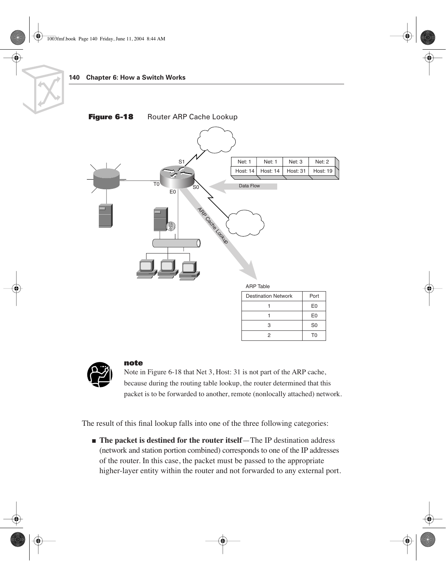



#### **note**

Note in Figure 6-18 that Net 3, Host: 31 is not part of the ARP cache, because during the routing table lookup, the router determined that this packet is to be forwarded to another, remote (nonlocally attached) network.

2 T0

The result of this final lookup falls into one of the three following categories:

■ **The packet is destined for the router itself**—The IP destination address (network and station portion combined) corresponds to one of the IP addresses of the router. In this case, the packet must be passed to the appropriate higher-layer entity within the router and not forwarded to any external port.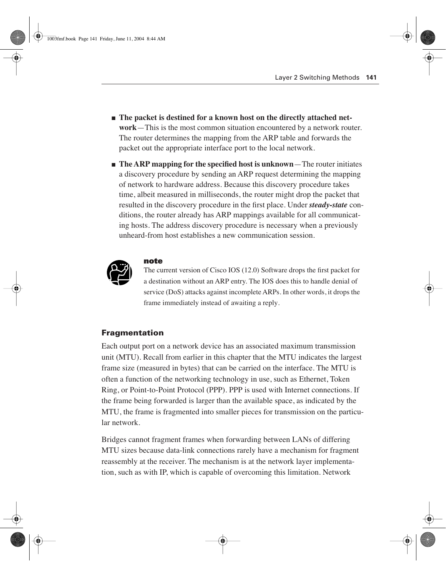- **The packet is destined for a known host on the directly attached network**—This is the most common situation encountered by a network router. The router determines the mapping from the ARP table and forwards the packet out the appropriate interface port to the local network.
- **The ARP mapping for the specified host is unknown**—The router initiates a discovery procedure by sending an ARP request determining the mapping of network to hardware address. Because this discovery procedure takes time, albeit measured in milliseconds, the router might drop the packet that resulted in the discovery procedure in the first place. Under *steady-state* conditions, the router already has ARP mappings available for all communicating hosts. The address discovery procedure is necessary when a previously unheard-from host establishes a new communication session.



#### **note**

The current version of Cisco IOS (12.0) Software drops the first packet for a destination without an ARP entry. The IOS does this to handle denial of service (DoS) attacks against incomplete ARPs. In other words, it drops the frame immediately instead of awaiting a reply.

### **Fragmentation**

Each output port on a network device has an associated maximum transmission unit (MTU). Recall from earlier in this chapter that the MTU indicates the largest frame size (measured in bytes) that can be carried on the interface. The MTU is often a function of the networking technology in use, such as Ethernet, Token Ring, or Point-to-Point Protocol (PPP). PPP is used with Internet connections. If the frame being forwarded is larger than the available space, as indicated by the MTU, the frame is fragmented into smaller pieces for transmission on the particular network.

Bridges cannot fragment frames when forwarding between LANs of differing MTU sizes because data-link connections rarely have a mechanism for fragment reassembly at the receiver. The mechanism is at the network layer implementation, such as with IP, which is capable of overcoming this limitation. Network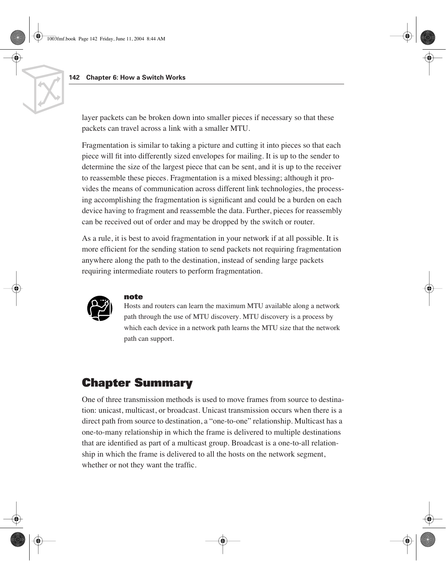layer packets can be broken down into smaller pieces if necessary so that these packets can travel across a link with a smaller MTU.

Fragmentation is similar to taking a picture and cutting it into pieces so that each piece will fit into differently sized envelopes for mailing. It is up to the sender to determine the size of the largest piece that can be sent, and it is up to the receiver to reassemble these pieces. Fragmentation is a mixed blessing; although it provides the means of communication across different link technologies, the processing accomplishing the fragmentation is significant and could be a burden on each device having to fragment and reassemble the data. Further, pieces for reassembly can be received out of order and may be dropped by the switch or router.

As a rule, it is best to avoid fragmentation in your network if at all possible. It is more efficient for the sending station to send packets not requiring fragmentation anywhere along the path to the destination, instead of sending large packets requiring intermediate routers to perform fragmentation.



#### **note**

Hosts and routers can learn the maximum MTU available along a network path through the use of MTU discovery. MTU discovery is a process by which each device in a network path learns the MTU size that the network path can support.

# **Chapter Summary**

One of three transmission methods is used to move frames from source to destination: unicast, multicast, or broadcast. Unicast transmission occurs when there is a direct path from source to destination, a "one-to-one" relationship. Multicast has a one-to-many relationship in which the frame is delivered to multiple destinations that are identified as part of a multicast group. Broadcast is a one-to-all relationship in which the frame is delivered to all the hosts on the network segment, whether or not they want the traffic.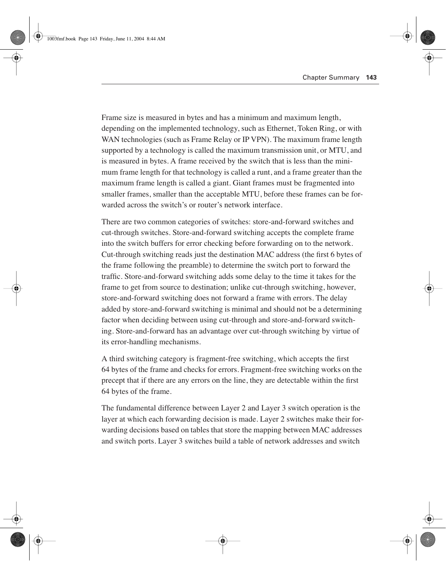Frame size is measured in bytes and has a minimum and maximum length, depending on the implemented technology, such as Ethernet, Token Ring, or with WAN technologies (such as Frame Relay or IP VPN). The maximum frame length supported by a technology is called the maximum transmission unit, or MTU, and is measured in bytes. A frame received by the switch that is less than the minimum frame length for that technology is called a runt, and a frame greater than the maximum frame length is called a giant. Giant frames must be fragmented into smaller frames, smaller than the acceptable MTU, before these frames can be forwarded across the switch's or router's network interface.

There are two common categories of switches: store-and-forward switches and cut-through switches. Store-and-forward switching accepts the complete frame into the switch buffers for error checking before forwarding on to the network. Cut-through switching reads just the destination MAC address (the first 6 bytes of the frame following the preamble) to determine the switch port to forward the traffic. Store-and-forward switching adds some delay to the time it takes for the frame to get from source to destination; unlike cut-through switching, however, store-and-forward switching does not forward a frame with errors. The delay added by store-and-forward switching is minimal and should not be a determining factor when deciding between using cut-through and store-and-forward switching. Store-and-forward has an advantage over cut-through switching by virtue of its error-handling mechanisms.

A third switching category is fragment-free switching, which accepts the first 64 bytes of the frame and checks for errors. Fragment-free switching works on the precept that if there are any errors on the line, they are detectable within the first 64 bytes of the frame.

The fundamental difference between Layer 2 and Layer 3 switch operation is the layer at which each forwarding decision is made. Layer 2 switches make their forwarding decisions based on tables that store the mapping between MAC addresses and switch ports. Layer 3 switches build a table of network addresses and switch